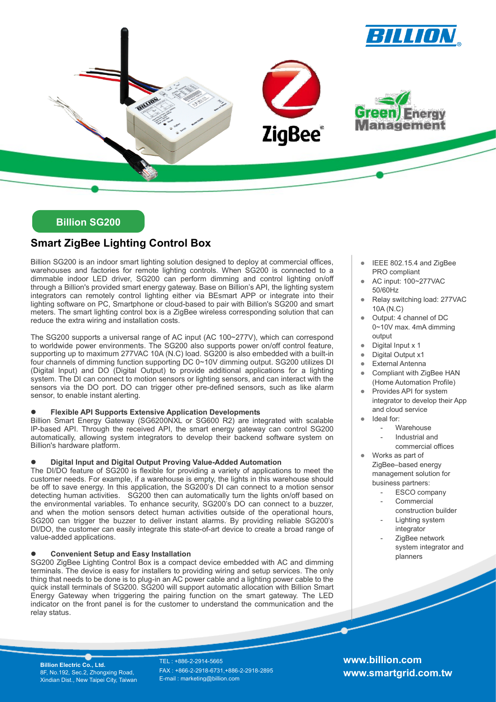

## Billion SG200

# Smart ZigBee Lighting Control Box

Billion SG200 is an indoor smart lighting solution designed to deploy at commercial offices, warehouses and factories for remote lighting controls. When SG200 is connected to a dimmable indoor LED driver, SG200 can perform dimming and control lighting on/off through a Billion's provided smart energy gateway. Base on Billion's API, the lighting system integrators can remotely control lighting either via BEsmart APP or integrate into their lighting software on PC, Smartphone or cloud-based to pair with Billion's SG200 and smart meters. The smart lighting control box is a ZigBee wireless corresponding solution that can reduce the extra wiring and installation costs.

The SG200 supports a universal range of AC input (AC 100~277V), which can correspond to worldwide power environments. The SG200 also supports power on/off control feature, supporting up to maximum 277VAC 10A (N.C) load. SG200 is also embedded with a built-in four channels of dimming function supporting DC 0~10V dimming output. SG200 utilizes DI (Digital Input) and DO (Digital Output) to provide additional applications for a lighting system. The DI can connect to motion sensors or lighting sensors, and can interact with the sensors via the DO port. DO can trigger other pre-defined sensors, such as like alarm sensor, to enable instant alerting.

### Flexible API Supports Extensive Application Developments

Billion Smart Energy Gateway (SG6200NXL or SG600 R2) are integrated with scalable IP-based API. Through the received API, the smart energy gateway can control SG200 automatically, allowing system integrators to develop their backend software system on Billion's hardware platform.

### Digital Input and Digital Output Proving Value-Added Automation

The DI/DO feature of SG200 is flexible for providing a variety of applications to meet the customer needs. For example, if a warehouse is empty, the lights in this warehouse should be off to save energy. In this application, the SG200's DI can connect to a motion sensor detecting human activities. SG200 then can automatically turn the lights on/off based on the environmental variables. To enhance security, SG200's DO can connect to a buzzer, and when the motion sensors detect human activities outside of the operational hours, SG200 can trigger the buzzer to deliver instant alarms. By providing reliable SG200's DI/DO, the customer can easily integrate this state-of-art device to create a broad range of value-added applications.

### Convenient Setup and Easy Installation

SG200 ZigBee Lighting Control Box is a compact device embedded with AC and dimming terminals. The device is easy for installers to providing wiring and setup services. The only thing that needs to be done is to plug-in an AC power cable and a lighting power cable to the quick install terminals of SG200. SG200 will support automatic allocation with Billion Smart Energy Gateway when triggering the pairing function on the smart gateway. The LED indicator on the front panel is for the customer to understand the communication and the relay status.

- IEEE 802.15.4 and ZigBee PRO compliant
- AC input: 100~277VAC 50/60Hz
- Relay switching load: 277VAC 10A (N.C)
- Output: 4 channel of DC 0~10V max. 4mA dimming output
- Digital Input x 1
- Digital Output x1
- External Antenna
- Compliant with ZigBee HAN (Home Automation Profile)
- Provides API for system integrator to develop their App and cloud service
- Ideal for:
	- Warehouse
	- Industrial and commercial offices
- Works as part of ZigBee–based energy management solution for business partners:
	- ESCO company
	- **Commercial** construction builder
	- Lighting system integrator
	- ZigBee network system integrator and planners

Billion Electric Co., Ltd. 8F, No.192, Sec.2, Zhongxing Road, Xindian Dist., New Taipei City, Taiwan

TEL : +886-2-2914-5665 FAX : +866-2-2918-6731,+886-2-2918-2895 E-mail : marketing@billion.com

www.billion.com www.smartgrid.com.tw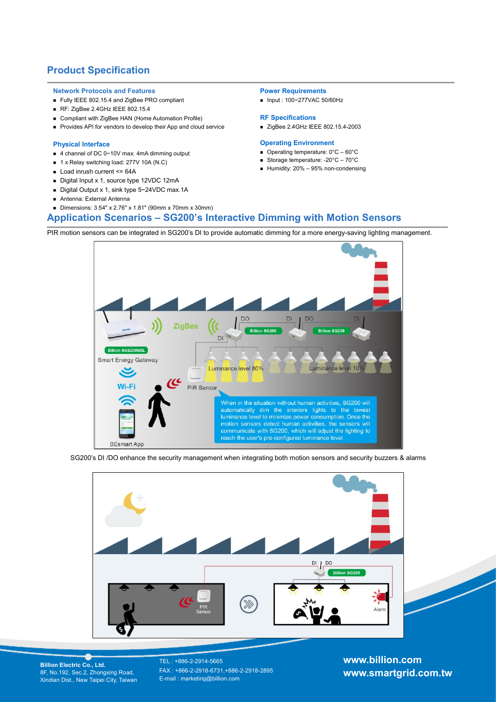## Product Specification

#### Network Protocols and Features

- Fully IEEE 802.15.4 and ZigBee PRO compliant
- RF: ZigBee 2.4GHz IEEE 802.15.4
- Compliant with ZigBee HAN (Home Automation Profile)
- Provides API for vendors to develop their App and cloud service

#### Physical Interface

- 4 channel of DC 0~10V max. 4mA dimming output
- 1 x Relay switching load: 277V 10A (N.C)
- $\blacksquare$  Load inrush current  $\leq$  64A
- Digital Input x 1, source type 12VDC 12mA
- Digital Output x 1, sink type 5~24VDC max.1A
- Antenna: External Antenna
- Dimensions: 3.54" x 2.76" x 1.81" (90mm x 70mm x 30mm)

#### Power Requirements

■ Input : 100~277VAC 50/60Hz

#### RF Specifications

■ ZigBee 2.4GHz IEEE 802.15.4-2003

#### Operating Environment

- Operating temperature: 0°C 60°C
- Storage temperature: -20°C 70°C
- Humidity:  $20\% 95\%$  non-condensing
- Application Scenarios SG200's Interactive Dimming with Motion Sensors

PIR motion sensors can be integrated in SG200's DI to provide automatic dimming for a more energy-saving lighting management.



SG200's DI /DO enhance the security management when integrating both motion sensors and security buzzers & alarms



Billion Electric Co., Ltd. 8F, No.192, Sec.2, Zhongxing Road, Xindian Dist., New Taipei City, Taiwan

TEL : +886-2-2914-5665 FAX : +866-2-2918-6731,+886-2-2918-2895 E-mail : marketing@billion.com

www.billion.com www.smartgrid.com.tw